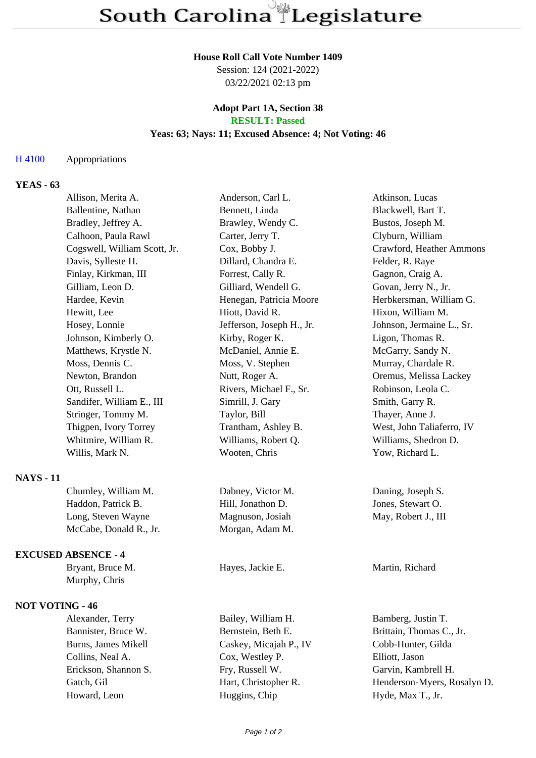#### **House Roll Call Vote Number 1409**

Session: 124 (2021-2022) 03/22/2021 02:13 pm

### **Adopt Part 1A, Section 38 RESULT: Passed**

#### **Yeas: 63; Nays: 11; Excused Absence: 4; Not Voting: 46**

## H 4100 Appropriations

# **YEAS - 63**

|                            | Allison, Merita A.           | Anderson, Carl L.         | Atkinson, Lucas             |
|----------------------------|------------------------------|---------------------------|-----------------------------|
|                            | Ballentine, Nathan           | Bennett, Linda            | Blackwell, Bart T.          |
|                            | Bradley, Jeffrey A.          | Brawley, Wendy C.         | Bustos, Joseph M.           |
|                            | Calhoon, Paula Rawl          | Carter, Jerry T.          | Clyburn, William            |
|                            | Cogswell, William Scott, Jr. | Cox, Bobby J.             | Crawford, Heather Ammons    |
|                            | Davis, Sylleste H.           | Dillard, Chandra E.       | Felder, R. Raye             |
|                            | Finlay, Kirkman, III         | Forrest, Cally R.         | Gagnon, Craig A.            |
|                            | Gilliam, Leon D.             | Gilliard, Wendell G.      | Govan, Jerry N., Jr.        |
|                            | Hardee, Kevin                | Henegan, Patricia Moore   | Herbkersman, William G.     |
|                            | Hewitt, Lee                  | Hiott, David R.           | Hixon, William M.           |
|                            | Hosey, Lonnie                | Jefferson, Joseph H., Jr. | Johnson, Jermaine L., Sr.   |
|                            | Johnson, Kimberly O.         | Kirby, Roger K.           | Ligon, Thomas R.            |
|                            | Matthews, Krystle N.         | McDaniel, Annie E.        | McGarry, Sandy N.           |
|                            | Moss, Dennis C.              | Moss, V. Stephen          | Murray, Chardale R.         |
|                            | Newton, Brandon              | Nutt, Roger A.            | Oremus, Melissa Lackey      |
|                            | Ott, Russell L.              | Rivers, Michael F., Sr.   | Robinson, Leola C.          |
|                            | Sandifer, William E., III    | Simrill, J. Gary          | Smith, Garry R.             |
|                            | Stringer, Tommy M.           | Taylor, Bill              | Thayer, Anne J.             |
|                            | Thigpen, Ivory Torrey        | Trantham, Ashley B.       | West, John Taliaferro, IV   |
|                            | Whitmire, William R.         | Williams, Robert Q.       | Williams, Shedron D.        |
|                            | Willis, Mark N.              | Wooten, Chris             | Yow, Richard L.             |
| <b>NAYS</b> - 11           |                              |                           |                             |
|                            | Chumley, William M.          | Dabney, Victor M.         | Daning, Joseph S.           |
|                            | Haddon, Patrick B.           | Hill, Jonathon D.         | Jones, Stewart O.           |
|                            | Long, Steven Wayne           | Magnuson, Josiah          | May, Robert J., III         |
|                            | McCabe, Donald R., Jr.       | Morgan, Adam M.           |                             |
| <b>EXCUSED ABSENCE - 4</b> |                              |                           |                             |
|                            | Bryant, Bruce M.             | Hayes, Jackie E.          | Martin, Richard             |
|                            | Murphy, Chris                |                           |                             |
| <b>NOT VOTING - 46</b>     |                              |                           |                             |
|                            | Alexander, Terry             | Bailey, William H.        | Bamberg, Justin T.          |
|                            | Bannister, Bruce W.          | Bernstein, Beth E.        | Brittain, Thomas C., Jr.    |
|                            | Burns, James Mikell          | Caskey, Micajah P., IV    | Cobb-Hunter, Gilda          |
|                            | Collins, Neal A.             | Cox, Westley P.           | Elliott, Jason              |
|                            | Erickson, Shannon S.         | Fry, Russell W.           | Garvin, Kambrell H.         |
|                            | Gatch, Gil                   | Hart, Christopher R.      | Henderson-Myers, Rosalyn D. |
|                            | Howard, Leon                 | Huggins, Chip             | Hyde, Max T., Jr.           |